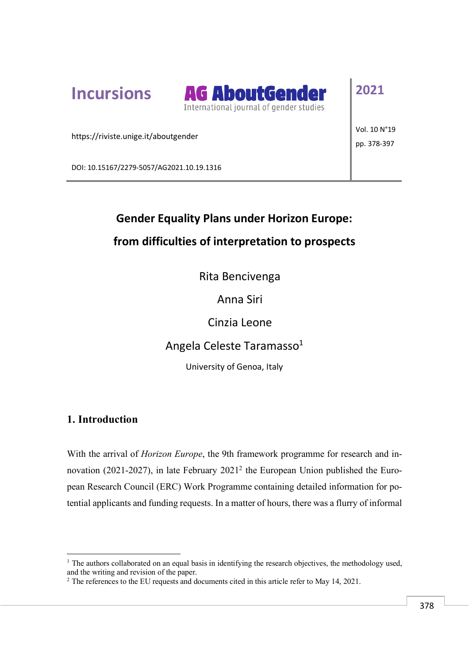**Incursions**



**2021**

https://riviste.unige.it/aboutgender

Vol. 10 N°19 pp. 378-397

DOI: 10.15167/2279-5057/AG2021.10.19.1316

# **Gender Equality Plans under Horizon Europe: from difficulties of interpretation to prospects**

Rita Bencivenga

Anna Siri

Cinzia Leone

Angela Celeste Taramasso<sup>1</sup>

University of Genoa, Italy

# **1. Introduction**

 $\overline{a}$ 

With the arrival of *Horizon Europe*, the 9th framework programme for research and innovation (2021-2027), in late February 20212 the European Union published the European Research Council (ERC) Work Programme containing detailed information for potential applicants and funding requests. In a matter of hours, there was a flurry of informal

<sup>&</sup>lt;sup>1</sup> The authors collaborated on an equal basis in identifying the research objectives, the methodology used, and the writing and revision of the paper.

<sup>2</sup> The references to the EU requests and documents cited in this article refer to May 14, 2021.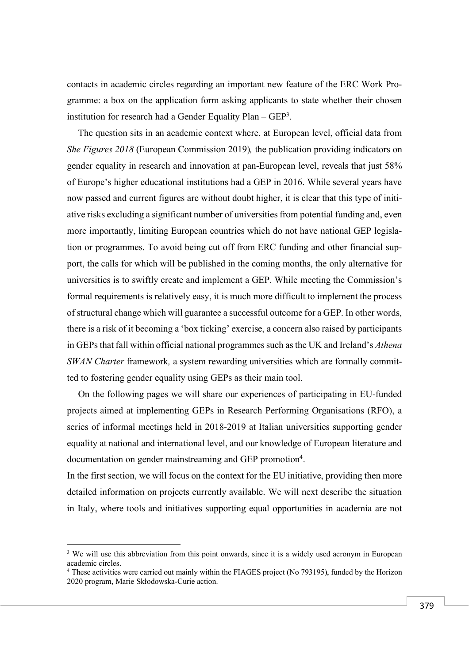contacts in academic circles regarding an important new feature of the ERC Work Programme: a box on the application form asking applicants to state whether their chosen institution for research had a Gender Equality Plan  $-$  GEP<sup>3</sup>.

The question sits in an academic context where, at European level, official data from *She Figures 2018* (European Commission 2019)*,* the publication providing indicators on gender equality in research and innovation at pan-European level, reveals that just 58% of Europe's higher educational institutions had a GEP in 2016. While several years have now passed and current figures are without doubt higher, it is clear that this type of initiative risks excluding a significant number of universities from potential funding and, even more importantly, limiting European countries which do not have national GEP legislation or programmes. To avoid being cut off from ERC funding and other financial support, the calls for which will be published in the coming months, the only alternative for universities is to swiftly create and implement a GEP. While meeting the Commission's formal requirements is relatively easy, it is much more difficult to implement the process of structural change which will guarantee a successful outcome for a GEP. In other words, there is a risk of it becoming a 'box ticking' exercise, a concern also raised by participants in GEPs that fall within official national programmes such as the UK and Ireland's *Athena SWAN Charter framework, a system rewarding universities which are formally commit*ted to fostering gender equality using GEPs as their main tool.

On the following pages we will share our experiences of participating in EU-funded projects aimed at implementing GEPs in Research Performing Organisations (RFO), a series of informal meetings held in 2018-2019 at Italian universities supporting gender equality at national and international level, and our knowledge of European literature and documentation on gender mainstreaming and GEP promotion4.

In the first section, we will focus on the context for the EU initiative, providing then more detailed information on projects currently available. We will next describe the situation in Italy, where tools and initiatives supporting equal opportunities in academia are not

<sup>&</sup>lt;sup>3</sup> We will use this abbreviation from this point onwards, since it is a widely used acronym in European academic circles.

<sup>4</sup> These activities were carried out mainly within the FIAGES project (No 793195), funded by the Horizon 2020 program, Marie Skłodowska-Curie action.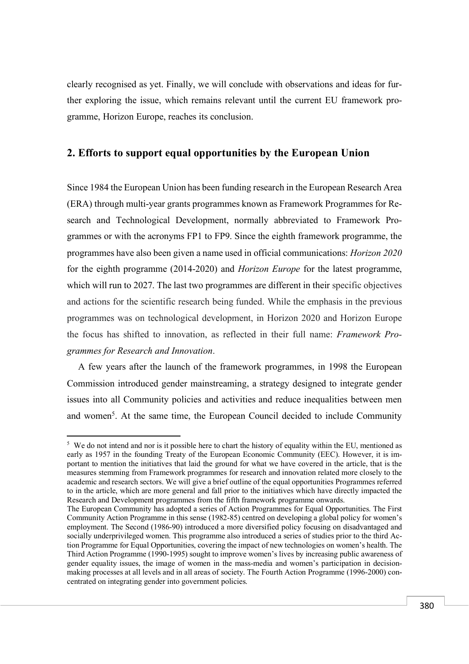clearly recognised as yet. Finally, we will conclude with observations and ideas for further exploring the issue, which remains relevant until the current EU framework programme, Horizon Europe, reaches its conclusion.

# **2. Efforts to support equal opportunities by the European Union**

Since 1984 the European Union has been funding research in the European Research Area (ERA) through multi-year grants programmes known as Framework Programmes for Research and Technological Development, normally abbreviated to Framework Programmes or with the acronyms FP1 to FP9. Since the eighth framework programme, the programmes have also been given a name used in official communications: *Horizon 2020* for the eighth programme (2014-2020) and *Horizon Europe* for the latest programme, which will run to 2027. The last two programmes are different in their specific objectives and actions for the scientific research being funded. While the emphasis in the previous programmes was on technological development, in Horizon 2020 and Horizon Europe the focus has shifted to innovation, as reflected in their full name: *Framework Programmes for Research and Innovation*.

A few years after the launch of the framework programmes, in 1998 the European Commission introduced gender mainstreaming, a strategy designed to integrate gender issues into all Community policies and activities and reduce inequalities between men and women<sup>5</sup>. At the same time, the European Council decided to include Community

<sup>&</sup>lt;sup>5</sup> We do not intend and nor is it possible here to chart the history of equality within the EU, mentioned as early as 1957 in the founding Treaty of the European Economic Community (EEC). However, it is important to mention the initiatives that laid the ground for what we have covered in the article, that is the measures stemming from Framework programmes for research and innovation related more closely to the academic and research sectors. We will give a brief outline of the equal opportunities Programmes referred to in the article, which are more general and fall prior to the initiatives which have directly impacted the Research and Development programmes from the fifth framework programme onwards.

The European Community has adopted a series of Action Programmes for Equal Opportunities. The First Community Action Programme in this sense (1982-85) centred on developing a global policy for women's employment. The Second (1986-90) introduced a more diversified policy focusing on disadvantaged and socially underprivileged women. This programme also introduced a series of studies prior to the third Action Programme for Equal Opportunities, covering the impact of new technologies on women's health. The Third Action Programme (1990-1995) sought to improve women's lives by increasing public awareness of gender equality issues, the image of women in the mass-media and women's participation in decisionmaking processes at all levels and in all areas of society. The Fourth Action Programme (1996-2000) concentrated on integrating gender into government policies.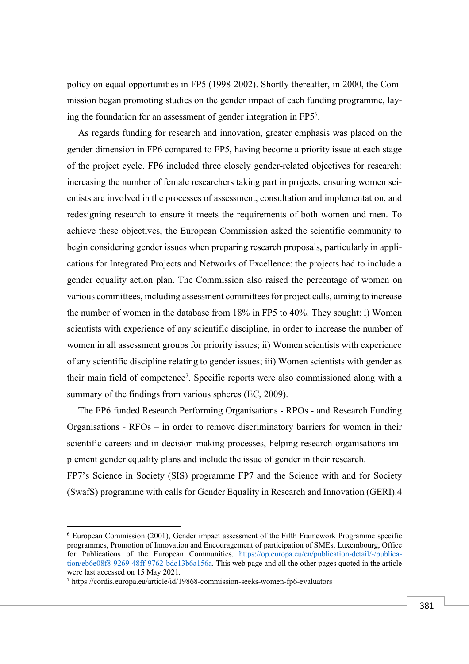policy on equal opportunities in FP5 (1998-2002). Shortly thereafter, in 2000, the Commission began promoting studies on the gender impact of each funding programme, laying the foundation for an assessment of gender integration in FP56.

As regards funding for research and innovation, greater emphasis was placed on the gender dimension in FP6 compared to FP5, having become a priority issue at each stage of the project cycle. FP6 included three closely gender-related objectives for research: increasing the number of female researchers taking part in projects, ensuring women scientists are involved in the processes of assessment, consultation and implementation, and redesigning research to ensure it meets the requirements of both women and men. To achieve these objectives, the European Commission asked the scientific community to begin considering gender issues when preparing research proposals, particularly in applications for Integrated Projects and Networks of Excellence: the projects had to include a gender equality action plan. The Commission also raised the percentage of women on various committees, including assessment committees for project calls, aiming to increase the number of women in the database from 18% in FP5 to 40%. They sought: i) Women scientists with experience of any scientific discipline, in order to increase the number of women in all assessment groups for priority issues; ii) Women scientists with experience of any scientific discipline relating to gender issues; iii) Women scientists with gender as their main field of competence7. Specific reports were also commissioned along with a summary of the findings from various spheres (EC, 2009).

The FP6 funded Research Performing Organisations - RPOs - and Research Funding Organisations - RFOs – in order to remove discriminatory barriers for women in their scientific careers and in decision-making processes, helping research organisations implement gender equality plans and include the issue of gender in their research.

FP7's Science in Society (SIS) programme FP7 and the Science with and for Society (SwafS) programme with calls for Gender Equality in Research and Innovation (GERI).4

<sup>6</sup> European Commission (2001), Gender impact assessment of the Fifth Framework Programme specific programmes, Promotion of Innovation and Encouragement of participation of SMEs, Luxembourg, Office for Publications of the European Communities. https://op.europa.eu/en/publication-detail/-/publication/eb6e08f8-9269-48ff-9762-bdc13b6a156a. This web page and all the other pages quoted in the article were last accessed on 15 May 2021.

<sup>7</sup> https://cordis.europa.eu/article/id/19868-commission-seeks-women-fp6-evaluators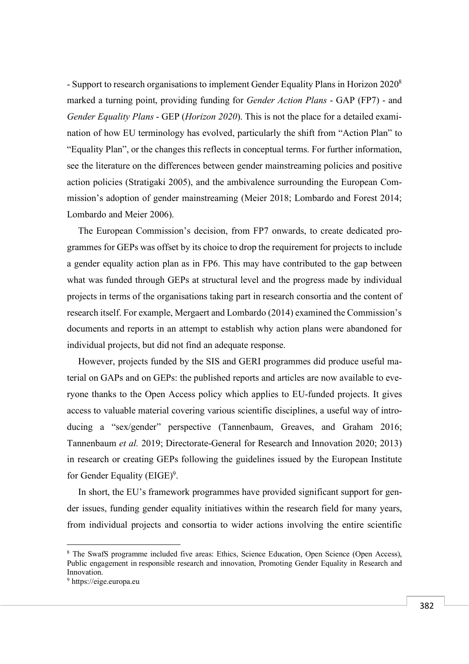- Support to research organisations to implement Gender Equality Plans in Horizon 20208 marked a turning point, providing funding for *Gender Action Plans* - GAP (FP7) - and *Gender Equality Plans* - GEP (*Horizon 2020*). This is not the place for a detailed examination of how EU terminology has evolved, particularly the shift from "Action Plan" to "Equality Plan", or the changes this reflects in conceptual terms. For further information, see the literature on the differences between gender mainstreaming policies and positive action policies (Stratigaki 2005), and the ambivalence surrounding the European Commission's adoption of gender mainstreaming (Meier 2018; Lombardo and Forest 2014; Lombardo and Meier 2006).

The European Commission's decision, from FP7 onwards, to create dedicated programmes for GEPs was offset by its choice to drop the requirement for projects to include a gender equality action plan as in FP6. This may have contributed to the gap between what was funded through GEPs at structural level and the progress made by individual projects in terms of the organisations taking part in research consortia and the content of research itself. For example, Mergaert and Lombardo (2014) examined the Commission's documents and reports in an attempt to establish why action plans were abandoned for individual projects, but did not find an adequate response.

However, projects funded by the SIS and GERI programmes did produce useful material on GAPs and on GEPs: the published reports and articles are now available to everyone thanks to the Open Access policy which applies to EU-funded projects. It gives access to valuable material covering various scientific disciplines, a useful way of introducing a "sex/gender" perspective (Tannenbaum, Greaves, and Graham 2016; Tannenbaum *et al.* 2019; Directorate-General for Research and Innovation 2020; 2013) in research or creating GEPs following the guidelines issued by the European Institute for Gender Equality (EIGE)<sup>9</sup>.

In short, the EU's framework programmes have provided significant support for gender issues, funding gender equality initiatives within the research field for many years, from individual projects and consortia to wider actions involving the entire scientific

<sup>8</sup> The SwafS programme included five areas: Ethics, Science Education, Open Science (Open Access), Public engagement in responsible research and innovation, Promoting Gender Equality in Research and Innovation.

<sup>9</sup> https://eige.europa.eu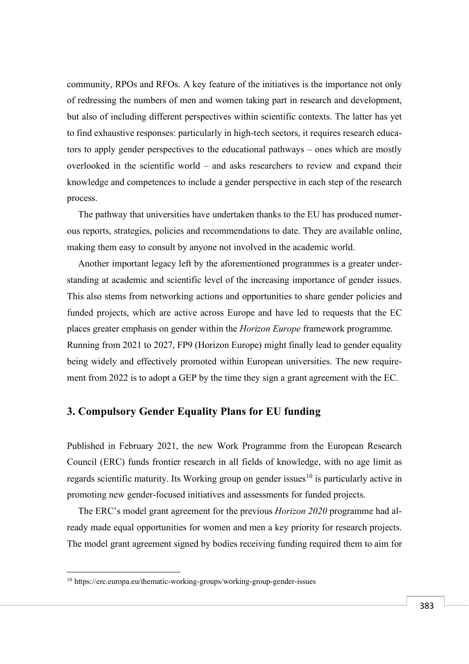community, RPOs and RFOs. A key feature of the initiatives is the importance not only of redressing the numbers of men and women taking part in research and development, but also of including different perspectives within scientific contexts. The latter has yet to find exhaustive responses: particularly in high-tech sectors, it requires research educators to apply gender perspectives to the educational pathways – ones which are mostly overlooked in the scientific world – and asks researchers to review and expand their knowledge and competences to include a gender perspective in each step of the research process.

The pathway that universities have undertaken thanks to the EU has produced numerous reports, strategies, policies and recommendations to date. They are available online, making them easy to consult by anyone not involved in the academic world.

Another important legacy left by the aforementioned programmes is a greater understanding at academic and scientific level of the increasing importance of gender issues. This also stems from networking actions and opportunities to share gender policies and funded projects, which are active across Europe and have led to requests that the EC places greater emphasis on gender within the *Horizon Europe* framework programme. Running from 2021 to 2027, FP9 (Horizon Europe) might finally lead to gender equality being widely and effectively promoted within European universities. The new requirement from 2022 is to adopt a GEP by the time they sign a grant agreement with the EC.

# **3. Compulsory Gender Equality Plans for EU funding**

Published in February 2021, the new Work Programme from the European Research Council (ERC) funds frontier research in all fields of knowledge, with no age limit as regards scientific maturity. Its Working group on gender issues<sup>10</sup> is particularly active in promoting new gender-focused initiatives and assessments for funded projects.

The ERC's model grant agreement for the previous *Horizon 2020* programme had already made equal opportunities for women and men a key priority for research projects. The model grant agreement signed by bodies receiving funding required them to aim for

<sup>10</sup> https://erc.europa.eu/thematic-working-groups/working-group-gender-issues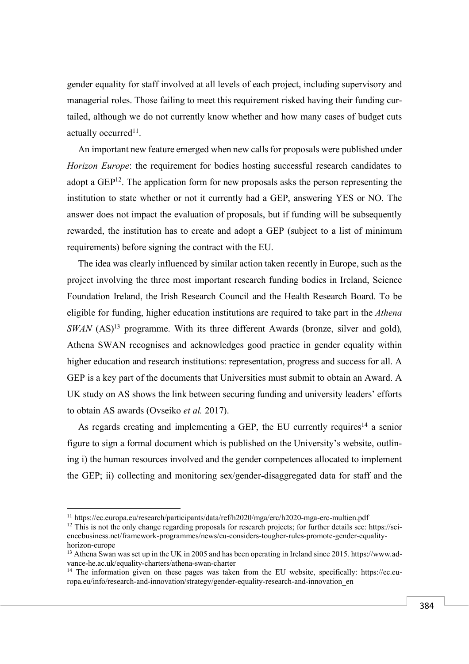gender equality for staff involved at all levels of each project, including supervisory and managerial roles. Those failing to meet this requirement risked having their funding curtailed, although we do not currently know whether and how many cases of budget cuts actually occurred<sup>11</sup>.

An important new feature emerged when new calls for proposals were published under *Horizon Europe*: the requirement for bodies hosting successful research candidates to adopt a GEP<sup>12</sup>. The application form for new proposals asks the person representing the institution to state whether or not it currently had a GEP, answering YES or NO. The answer does not impact the evaluation of proposals, but if funding will be subsequently rewarded, the institution has to create and adopt a GEP (subject to a list of minimum requirements) before signing the contract with the EU.

The idea was clearly influenced by similar action taken recently in Europe, such as the project involving the three most important research funding bodies in Ireland, Science Foundation Ireland, the Irish Research Council and the Health Research Board. To be eligible for funding, higher education institutions are required to take part in the *Athena SWAN* (AS)<sup>13</sup> programme. With its three different Awards (bronze, silver and gold), Athena SWAN recognises and acknowledges good practice in gender equality within higher education and research institutions: representation, progress and success for all. A GEP is a key part of the documents that Universities must submit to obtain an Award. A UK study on AS shows the link between securing funding and university leaders' efforts to obtain AS awards (Ovseiko *et al.* 2017).

As regards creating and implementing a GEP, the EU currently requires<sup>14</sup> a senior figure to sign a formal document which is published on the University's website, outlining i) the human resources involved and the gender competences allocated to implement the GEP; ii) collecting and monitoring sex/gender-disaggregated data for staff and the

<sup>&</sup>lt;sup>11</sup> https://ec.europa.eu/research/participants/data/ref/h2020/mga/erc/h2020-mga-erc-multien.pdf

<sup>&</sup>lt;sup>12</sup> This is not the only change regarding proposals for research projects; for further details see: https://sciencebusiness.net/framework-programmes/news/eu-considers-tougher-rules-promote-gender-equalityhorizon-europe

<sup>&</sup>lt;sup>13</sup> Athena Swan was set up in the UK in 2005 and has been operating in Ireland since 2015. https://www.advance-he.ac.uk/equality-charters/athena-swan-charter

<sup>&</sup>lt;sup>14</sup> The information given on these pages was taken from the EU website, specifically: https://ec.europa.eu/info/research-and-innovation/strategy/gender-equality-research-and-innovation\_en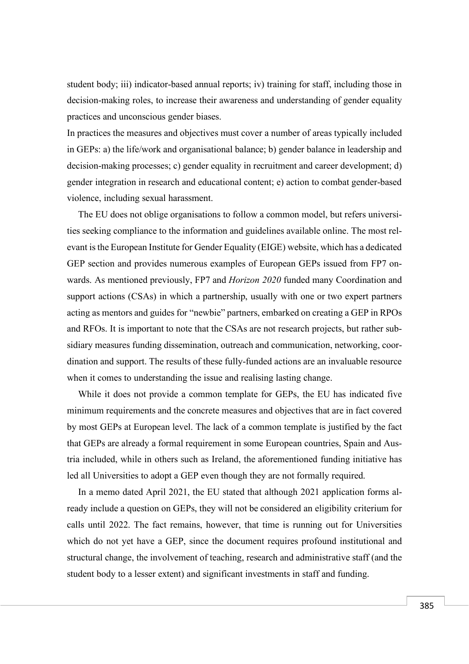student body; iii) indicator-based annual reports; iv) training for staff, including those in decision-making roles, to increase their awareness and understanding of gender equality practices and unconscious gender biases.

In practices the measures and objectives must cover a number of areas typically included in GEPs: a) the life/work and organisational balance; b) gender balance in leadership and decision-making processes; c) gender equality in recruitment and career development; d) gender integration in research and educational content; e) action to combat gender-based violence, including sexual harassment.

The EU does not oblige organisations to follow a common model, but refers universities seeking compliance to the information and guidelines available online. The most relevant is the European Institute for Gender Equality (EIGE) website, which has a dedicated GEP section and provides numerous examples of European GEPs issued from FP7 onwards. As mentioned previously, FP7 and *Horizon 2020* funded many Coordination and support actions (CSAs) in which a partnership, usually with one or two expert partners acting as mentors and guides for "newbie" partners, embarked on creating a GEP in RPOs and RFOs. It is important to note that the CSAs are not research projects, but rather subsidiary measures funding dissemination, outreach and communication, networking, coordination and support. The results of these fully-funded actions are an invaluable resource when it comes to understanding the issue and realising lasting change.

While it does not provide a common template for GEPs, the EU has indicated five minimum requirements and the concrete measures and objectives that are in fact covered by most GEPs at European level. The lack of a common template is justified by the fact that GEPs are already a formal requirement in some European countries, Spain and Austria included, while in others such as Ireland, the aforementioned funding initiative has led all Universities to adopt a GEP even though they are not formally required.

In a memo dated April 2021, the EU stated that although 2021 application forms already include a question on GEPs, they will not be considered an eligibility criterium for calls until 2022. The fact remains, however, that time is running out for Universities which do not yet have a GEP, since the document requires profound institutional and structural change, the involvement of teaching, research and administrative staff (and the student body to a lesser extent) and significant investments in staff and funding.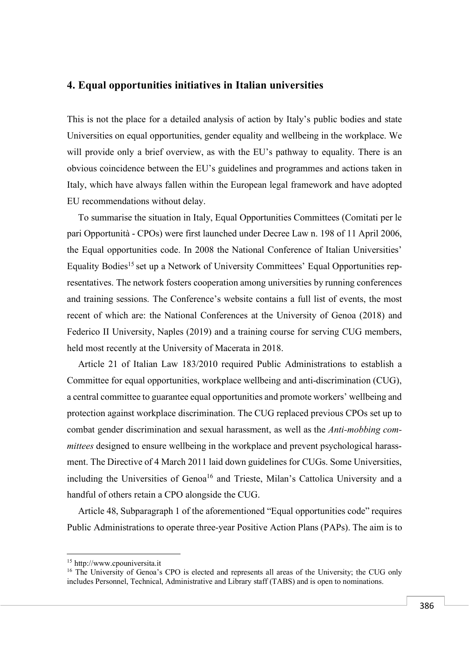### **4. Equal opportunities initiatives in Italian universities**

This is not the place for a detailed analysis of action by Italy's public bodies and state Universities on equal opportunities, gender equality and wellbeing in the workplace. We will provide only a brief overview, as with the EU's pathway to equality. There is an obvious coincidence between the EU's guidelines and programmes and actions taken in Italy, which have always fallen within the European legal framework and have adopted EU recommendations without delay.

To summarise the situation in Italy, Equal Opportunities Committees (Comitati per le pari Opportunità - CPOs) were first launched under Decree Law n. 198 of 11 April 2006, the Equal opportunities code. In 2008 the National Conference of Italian Universities' Equality Bodies<sup>15</sup> set up a Network of University Committees' Equal Opportunities representatives. The network fosters cooperation among universities by running conferences and training sessions. The Conference's website contains a full list of events, the most recent of which are: the National Conferences at the University of Genoa (2018) and Federico II University, Naples (2019) and a training course for serving CUG members, held most recently at the University of Macerata in 2018.

Article 21 of Italian Law 183/2010 required Public Administrations to establish a Committee for equal opportunities, workplace wellbeing and anti-discrimination (CUG), a central committee to guarantee equal opportunities and promote workers' wellbeing and protection against workplace discrimination. The CUG replaced previous CPOs set up to combat gender discrimination and sexual harassment, as well as the *Anti-mobbing committees* designed to ensure wellbeing in the workplace and prevent psychological harassment. The Directive of 4 March 2011 laid down guidelines for CUGs. Some Universities, including the Universities of Genoa<sup>16</sup> and Trieste, Milan's Cattolica University and a handful of others retain a CPO alongside the CUG.

Article 48, Subparagraph 1 of the aforementioned "Equal opportunities code" requires Public Administrations to operate three-year Positive Action Plans (PAPs). The aim is to

<sup>15</sup> http://www.cpouniversita.it

<sup>&</sup>lt;sup>16</sup> The University of Genoa's CPO is elected and represents all areas of the University; the CUG only includes Personnel, Technical, Administrative and Library staff (TABS) and is open to nominations.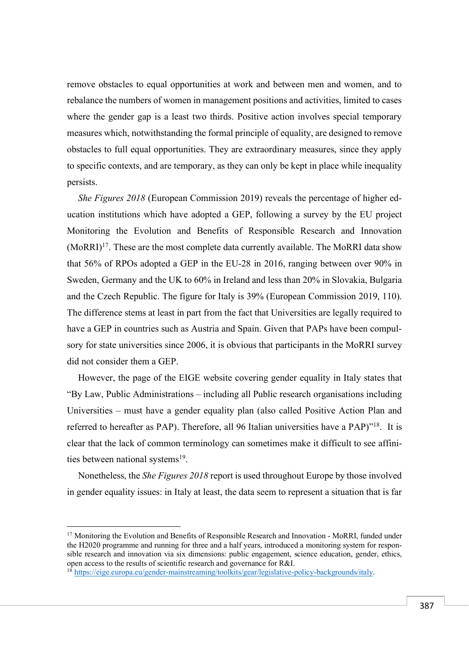remove obstacles to equal opportunities at work and between men and women, and to rebalance the numbers of women in management positions and activities, limited to cases where the gender gap is a least two thirds. Positive action involves special temporary measures which, notwithstanding the formal principle of equality, are designed to remove obstacles to full equal opportunities. They are extraordinary measures, since they apply to specific contexts, and are temporary, as they can only be kept in place while inequality persists.

*She Figures 2018* (European Commission 2019) reveals the percentage of higher education institutions which have adopted a GEP, following a survey by the EU project Monitoring the Evolution and Benefits of Responsible Research and Innovation  $(MoRRI)<sup>17</sup>$ . These are the most complete data currently available. The MoRRI data show that 56% of RPOs adopted a GEP in the EU-28 in 2016, ranging between over 90% in Sweden, Germany and the UK to 60% in Ireland and less than 20% in Slovakia, Bulgaria and the Czech Republic. The figure for Italy is 39% (European Commission 2019, 110). The difference stems at least in part from the fact that Universities are legally required to have a GEP in countries such as Austria and Spain. Given that PAPs have been compulsory for state universities since 2006, it is obvious that participants in the MoRRI survey did not consider them a GEP.

However, the page of the EIGE website covering gender equality in Italy states that "By Law, Public Administrations – including all Public research organisations including Universities – must have a gender equality plan (also called Positive Action Plan and referred to hereafter as PAP). Therefore, all 96 Italian universities have a PAP)"18. It is clear that the lack of common terminology can sometimes make it difficult to see affinities between national systems<sup>19</sup>.

Nonetheless, the *She Figures 2018* report is used throughout Europe by those involved in gender equality issues: in Italy at least, the data seem to represent a situation that is far

 $17$  Monitoring the Evolution and Benefits of Responsible Research and Innovation - MoRRI, funded under the H2020 programme and running for three and a half years, introduced a monitoring system for responsible research and innovation via six dimensions: public engagement, science education, gender, ethics, open access to the results of scientific research and governance for R&I.

<sup>18</sup> https://eige.europa.eu/gender-mainstreaming/toolkits/gear/legislative-policy-backgrounds/italy.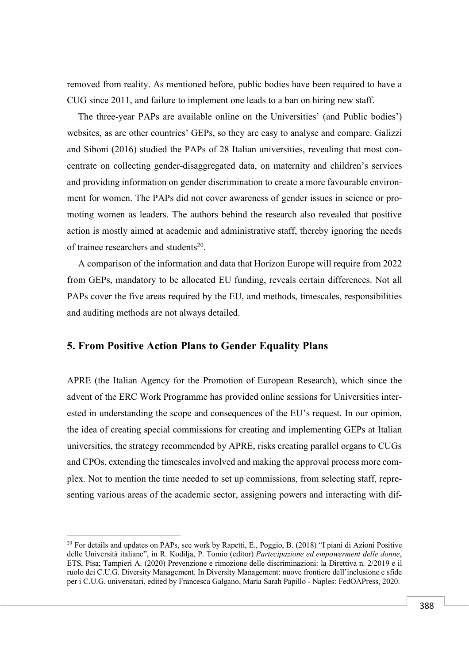removed from reality. As mentioned before, public bodies have been required to have a CUG since 2011, and failure to implement one leads to a ban on hiring new staff.

The three-year PAPs are available online on the Universities' (and Public bodies') websites, as are other countries' GEPs, so they are easy to analyse and compare. Galizzi and Siboni (2016) studied the PAPs of 28 Italian universities, revealing that most concentrate on collecting gender-disaggregated data, on maternity and children's services and providing information on gender discrimination to create a more favourable environment for women. The PAPs did not cover awareness of gender issues in science or promoting women as leaders. The authors behind the research also revealed that positive action is mostly aimed at academic and administrative staff, thereby ignoring the needs of trainee researchers and students<sup>20</sup>

A comparison of the information and data that Horizon Europe will require from 2022 from GEPs, mandatory to be allocated EU funding, reveals certain differences. Not all PAPs cover the five areas required by the EU, and methods, timescales, responsibilities and auditing methods are not always detailed.

#### **5. From Positive Action Plans to Gender Equality Plans**

 $\overline{a}$ 

APRE (the Italian Agency for the Promotion of European Research), which since the advent of the ERC Work Programme has provided online sessions for Universities interested in understanding the scope and consequences of the EU's request. In our opinion, the idea of creating special commissions for creating and implementing GEPs at Italian universities, the strategy recommended by APRE, risks creating parallel organs to CUGs and CPOs, extending the timescales involved and making the approval process more complex. Not to mention the time needed to set up commissions, from selecting staff, representing various areas of the academic sector, assigning powers and interacting with dif-

<sup>&</sup>lt;sup>20</sup> For details and updates on PAPs, see work by Rapetti, E., Poggio, B. (2018) "I piani di Azioni Positive delle Università italiane", in R. Kodilja, P. Tomio (editor) *Partecipazione ed empowerment delle donne*, ETS, Pisa; Tampieri A. (2020) Prevenzione e rimozione delle discriminazioni: la Direttiva n. 2/2019 e il ruolo dei C.U.G. Diversity Management. In Diversity Management: nuove frontiere dell'inclusione e sfide per i C.U.G. universitari, edited by Francesca Galgano, Maria Sarah Papillo - Naples: FedOAPress, 2020.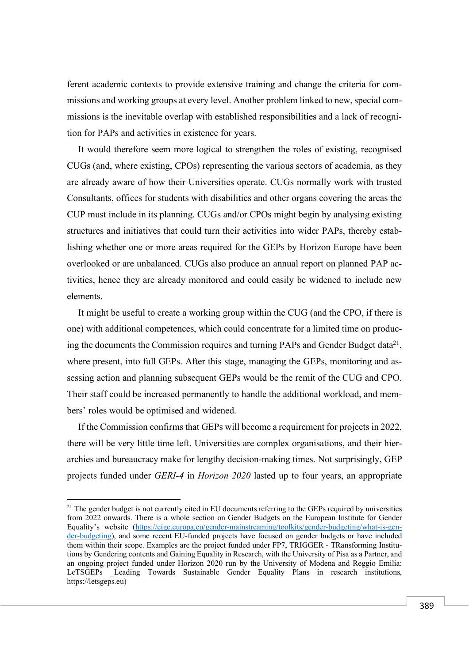ferent academic contexts to provide extensive training and change the criteria for commissions and working groups at every level. Another problem linked to new, special commissions is the inevitable overlap with established responsibilities and a lack of recognition for PAPs and activities in existence for years.

It would therefore seem more logical to strengthen the roles of existing, recognised CUGs (and, where existing, CPOs) representing the various sectors of academia, as they are already aware of how their Universities operate. CUGs normally work with trusted Consultants, offices for students with disabilities and other organs covering the areas the CUP must include in its planning. CUGs and/or CPOs might begin by analysing existing structures and initiatives that could turn their activities into wider PAPs, thereby establishing whether one or more areas required for the GEPs by Horizon Europe have been overlooked or are unbalanced. CUGs also produce an annual report on planned PAP activities, hence they are already monitored and could easily be widened to include new elements.

It might be useful to create a working group within the CUG (and the CPO, if there is one) with additional competences, which could concentrate for a limited time on producing the documents the Commission requires and turning PAPs and Gender Budget data<sup>21</sup>, where present, into full GEPs. After this stage, managing the GEPs, monitoring and assessing action and planning subsequent GEPs would be the remit of the CUG and CPO. Their staff could be increased permanently to handle the additional workload, and members' roles would be optimised and widened.

If the Commission confirms that GEPs will become a requirement for projects in 2022, there will be very little time left. Universities are complex organisations, and their hierarchies and bureaucracy make for lengthy decision-making times. Not surprisingly, GEP projects funded under *GERI-4* in *Horizon 2020* lasted up to four years, an appropriate

 $^{21}$  The gender budget is not currently cited in EU documents referring to the GEPs required by universities from 2022 onwards. There is a whole section on Gender Budgets on the European Institute for Gender Equality's website (https://eige.europa.eu/gender-mainstreaming/toolkits/gender-budgeting/what-is-gender-budgeting), and some recent EU-funded projects have focused on gender budgets or have included them within their scope. Examples are the project funded under FP7, TRIGGER - TRansforming Institutions by Gendering contents and Gaining Equality in Research, with the University of Pisa as a Partner, and an ongoing project funded under Horizon 2020 run by the University of Modena and Reggio Emilia: LeTSGEPs Leading Towards Sustainable Gender Equality Plans in research institutions, https://letsgeps.eu)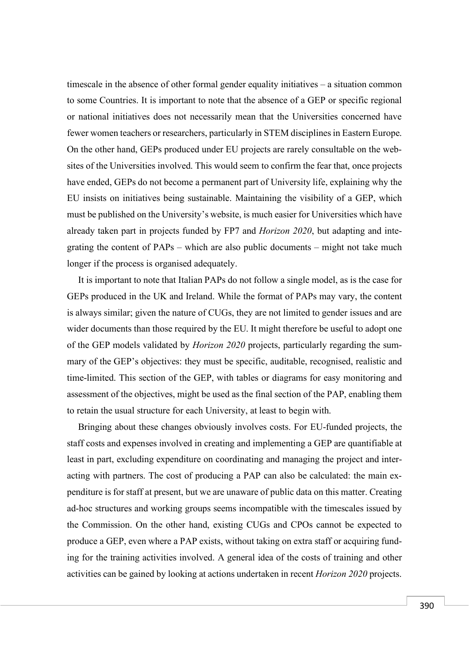timescale in the absence of other formal gender equality initiatives – a situation common to some Countries. It is important to note that the absence of a GEP or specific regional or national initiatives does not necessarily mean that the Universities concerned have fewer women teachers or researchers, particularly in STEM disciplines in Eastern Europe. On the other hand, GEPs produced under EU projects are rarely consultable on the websites of the Universities involved. This would seem to confirm the fear that, once projects have ended, GEPs do not become a permanent part of University life, explaining why the EU insists on initiatives being sustainable. Maintaining the visibility of a GEP, which must be published on the University's website, is much easier for Universities which have already taken part in projects funded by FP7 and *Horizon 2020*, but adapting and integrating the content of PAPs – which are also public documents – might not take much longer if the process is organised adequately.

It is important to note that Italian PAPs do not follow a single model, as is the case for GEPs produced in the UK and Ireland. While the format of PAPs may vary, the content is always similar; given the nature of CUGs, they are not limited to gender issues and are wider documents than those required by the EU. It might therefore be useful to adopt one of the GEP models validated by *Horizon 2020* projects, particularly regarding the summary of the GEP's objectives: they must be specific, auditable, recognised, realistic and time-limited. This section of the GEP, with tables or diagrams for easy monitoring and assessment of the objectives, might be used as the final section of the PAP, enabling them to retain the usual structure for each University, at least to begin with.

Bringing about these changes obviously involves costs. For EU-funded projects, the staff costs and expenses involved in creating and implementing a GEP are quantifiable at least in part, excluding expenditure on coordinating and managing the project and interacting with partners. The cost of producing a PAP can also be calculated: the main expenditure is for staff at present, but we are unaware of public data on this matter. Creating ad-hoc structures and working groups seems incompatible with the timescales issued by the Commission. On the other hand, existing CUGs and CPOs cannot be expected to produce a GEP, even where a PAP exists, without taking on extra staff or acquiring funding for the training activities involved. A general idea of the costs of training and other activities can be gained by looking at actions undertaken in recent *Horizon 2020* projects.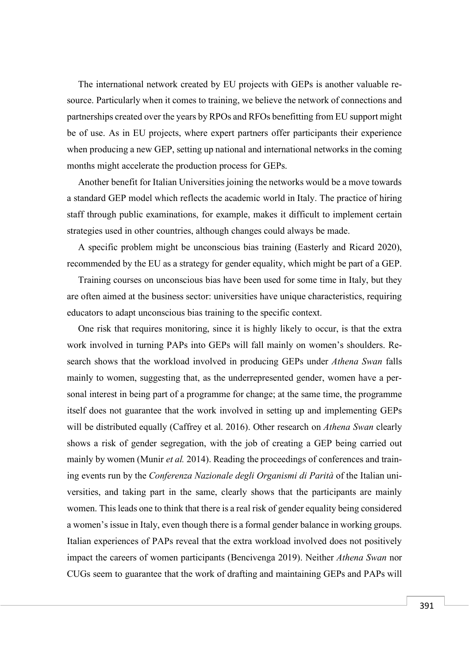The international network created by EU projects with GEPs is another valuable resource. Particularly when it comes to training, we believe the network of connections and partnerships created over the years by RPOs and RFOs benefitting from EU support might be of use. As in EU projects, where expert partners offer participants their experience when producing a new GEP, setting up national and international networks in the coming months might accelerate the production process for GEPs.

Another benefit for Italian Universities joining the networks would be a move towards a standard GEP model which reflects the academic world in Italy. The practice of hiring staff through public examinations, for example, makes it difficult to implement certain strategies used in other countries, although changes could always be made.

A specific problem might be unconscious bias training (Easterly and Ricard 2020), recommended by the EU as a strategy for gender equality, which might be part of a GEP.

Training courses on unconscious bias have been used for some time in Italy, but they are often aimed at the business sector: universities have unique characteristics, requiring educators to adapt unconscious bias training to the specific context.

One risk that requires monitoring, since it is highly likely to occur, is that the extra work involved in turning PAPs into GEPs will fall mainly on women's shoulders. Research shows that the workload involved in producing GEPs under *Athena Swan* falls mainly to women, suggesting that, as the underrepresented gender, women have a personal interest in being part of a programme for change; at the same time, the programme itself does not guarantee that the work involved in setting up and implementing GEPs will be distributed equally (Caffrey et al. 2016). Other research on *Athena Swan* clearly shows a risk of gender segregation, with the job of creating a GEP being carried out mainly by women (Munir *et al.* 2014). Reading the proceedings of conferences and training events run by the *Conferenza Nazionale degli Organismi di Parità* of the Italian universities, and taking part in the same, clearly shows that the participants are mainly women. This leads one to think that there is a real risk of gender equality being considered a women's issue in Italy, even though there is a formal gender balance in working groups. Italian experiences of PAPs reveal that the extra workload involved does not positively impact the careers of women participants (Bencivenga 2019). Neither *Athena Swan* nor CUGs seem to guarantee that the work of drafting and maintaining GEPs and PAPs will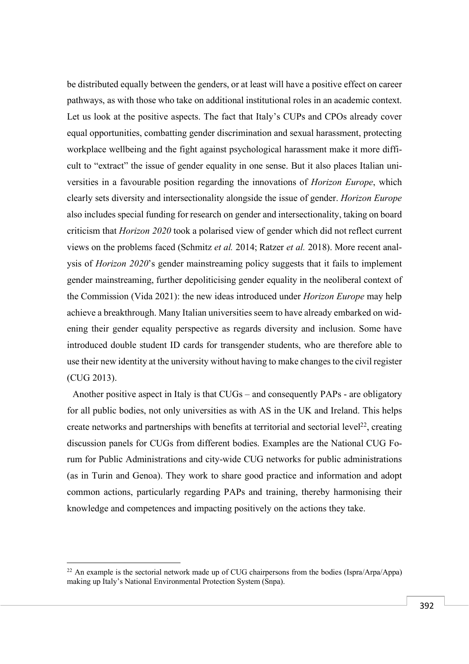be distributed equally between the genders, or at least will have a positive effect on career pathways, as with those who take on additional institutional roles in an academic context. Let us look at the positive aspects. The fact that Italy's CUPs and CPOs already cover equal opportunities, combatting gender discrimination and sexual harassment, protecting workplace wellbeing and the fight against psychological harassment make it more difficult to "extract" the issue of gender equality in one sense. But it also places Italian universities in a favourable position regarding the innovations of *Horizon Europe*, which clearly sets diversity and intersectionality alongside the issue of gender. *Horizon Europe* also includes special funding for research on gender and intersectionality, taking on board criticism that *Horizon 2020* took a polarised view of gender which did not reflect current views on the problems faced (Schmitz *et al.* 2014; Ratzer *et al.* 2018). More recent analysis of *Horizon 2020*'s gender mainstreaming policy suggests that it fails to implement gender mainstreaming, further depoliticising gender equality in the neoliberal context of the Commission (Vida 2021): the new ideas introduced under *Horizon Europe* may help achieve a breakthrough. Many Italian universities seem to have already embarked on widening their gender equality perspective as regards diversity and inclusion. Some have introduced double student ID cards for transgender students, who are therefore able to use their new identity at the university without having to make changes to the civil register (CUG 2013).

Another positive aspect in Italy is that CUGs – and consequently PAPs - are obligatory for all public bodies, not only universities as with AS in the UK and Ireland. This helps create networks and partnerships with benefits at territorial and sectorial level<sup>22</sup>, creating discussion panels for CUGs from different bodies. Examples are the National CUG Forum for Public Administrations and city-wide CUG networks for public administrations (as in Turin and Genoa). They work to share good practice and information and adopt common actions, particularly regarding PAPs and training, thereby harmonising their knowledge and competences and impacting positively on the actions they take.

 $^{22}$  An example is the sectorial network made up of CUG chairpersons from the bodies (Ispra/Arpa/Appa) making up Italy's National Environmental Protection System (Snpa).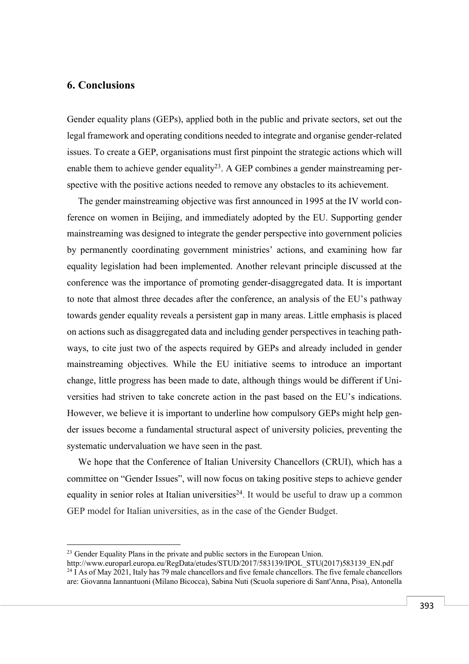# **6. Conclusions**

 $\overline{a}$ 

Gender equality plans (GEPs), applied both in the public and private sectors, set out the legal framework and operating conditions needed to integrate and organise gender-related issues. To create a GEP, organisations must first pinpoint the strategic actions which will enable them to achieve gender equality<sup>23</sup>. A GEP combines a gender mainstreaming perspective with the positive actions needed to remove any obstacles to its achievement.

The gender mainstreaming objective was first announced in 1995 at the IV world conference on women in Beijing, and immediately adopted by the EU. Supporting gender mainstreaming was designed to integrate the gender perspective into government policies by permanently coordinating government ministries' actions, and examining how far equality legislation had been implemented. Another relevant principle discussed at the conference was the importance of promoting gender-disaggregated data. It is important to note that almost three decades after the conference, an analysis of the EU's pathway towards gender equality reveals a persistent gap in many areas. Little emphasis is placed on actions such as disaggregated data and including gender perspectives in teaching pathways, to cite just two of the aspects required by GEPs and already included in gender mainstreaming objectives. While the EU initiative seems to introduce an important change, little progress has been made to date, although things would be different if Universities had striven to take concrete action in the past based on the EU's indications. However, we believe it is important to underline how compulsory GEPs might help gender issues become a fundamental structural aspect of university policies, preventing the systematic undervaluation we have seen in the past.

We hope that the Conference of Italian University Chancellors (CRUI), which has a committee on "Gender Issues", will now focus on taking positive steps to achieve gender equality in senior roles at Italian universities<sup>24</sup>. It would be useful to draw up a common GEP model for Italian universities, as in the case of the Gender Budget.

<sup>&</sup>lt;sup>23</sup> Gender Equality Plans in the private and public sectors in the European Union.

http://www.europarl.europa.eu/RegData/etudes/STUD/2017/583139/IPOL\_STU(2017)583139\_EN.pdf <sup>24</sup> I As of May 2021, Italy has 79 male chancellors and five female chancellors. The five female chancellors are: Giovanna Iannantuoni (Milano Bicocca), Sabina Nuti (Scuola superiore di Sant'Anna, Pisa), Antonella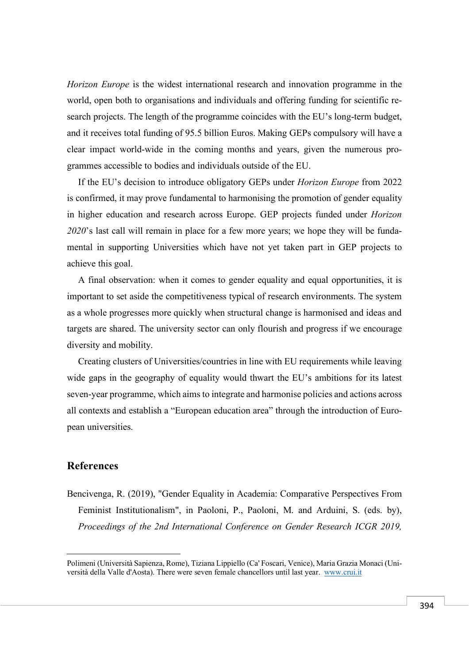*Horizon Europe* is the widest international research and innovation programme in the world, open both to organisations and individuals and offering funding for scientific research projects. The length of the programme coincides with the EU's long-term budget, and it receives total funding of 95.5 billion Euros. Making GEPs compulsory will have a clear impact world-wide in the coming months and years, given the numerous programmes accessible to bodies and individuals outside of the EU.

If the EU's decision to introduce obligatory GEPs under *Horizon Europe* from 2022 is confirmed, it may prove fundamental to harmonising the promotion of gender equality in higher education and research across Europe. GEP projects funded under *Horizon 2020*'s last call will remain in place for a few more years; we hope they will be fundamental in supporting Universities which have not yet taken part in GEP projects to achieve this goal.

A final observation: when it comes to gender equality and equal opportunities, it is important to set aside the competitiveness typical of research environments. The system as a whole progresses more quickly when structural change is harmonised and ideas and targets are shared. The university sector can only flourish and progress if we encourage diversity and mobility.

Creating clusters of Universities/countries in line with EU requirements while leaving wide gaps in the geography of equality would thwart the EU's ambitions for its latest seven-year programme, which aims to integrate and harmonise policies and actions across all contexts and establish a "European education area" through the introduction of European universities.

### **References**

 $\overline{a}$ 

Bencivenga, R. (2019), "Gender Equality in Academia: Comparative Perspectives From Feminist Institutionalism", in Paoloni, P., Paoloni, M. and Arduini, S. (eds. by), *Proceedings of the 2nd International Conference on Gender Research ICGR 2019,* 

Polimeni (Università Sapienza, Rome), Tiziana Lippiello (Ca' Foscari, Venice), Maria Grazia Monaci (Università della Valle d'Aosta). There were seven female chancellors until last year. www.crui.it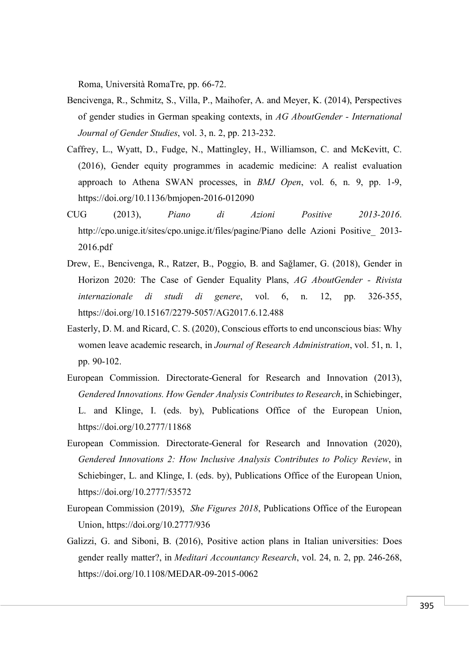Roma, Università RomaTre, pp. 66-72.

- Bencivenga, R., Schmitz, S., Villa, P., Maihofer, A. and Meyer, K. (2014), Perspectives of gender studies in German speaking contexts, in *AG AboutGender - International Journal of Gender Studies*, vol. 3, n. 2, pp. 213-232.
- Caffrey, L., Wyatt, D., Fudge, N., Mattingley, H., Williamson, C. and McKevitt, C. (2016), Gender equity programmes in academic medicine: A realist evaluation approach to Athena SWAN processes, in *BMJ Open*, vol. 6, n. 9, pp. 1-9, https://doi.org/10.1136/bmjopen-2016-012090
- CUG (2013), *Piano di Azioni Positive 2013-2016*. http://cpo.unige.it/sites/cpo.unige.it/files/pagine/Piano delle Azioni Positive\_ 2013- 2016.pdf
- Drew, E., Bencivenga, R., Ratzer, B., Poggio, B. and Sağlamer, G. (2018), Gender in Horizon 2020: The Case of Gender Equality Plans, *AG AboutGender - Rivista internazionale di studi di genere*, vol. 6, n. 12, pp. 326-355, https://doi.org/10.15167/2279-5057/AG2017.6.12.488
- Easterly, D. M. and Ricard, C. S. (2020), Conscious efforts to end unconscious bias: Why women leave academic research, in *Journal of Research Administration*, vol. 51, n. 1, pp. 90-102.
- European Commission. Directorate-General for Research and Innovation (2013), *Gendered Innovations. How Gender Analysis Contributes to Research*, in Schiebinger, L. and Klinge, I. (eds. by), Publications Office of the European Union, https://doi.org/10.2777/11868
- European Commission. Directorate-General for Research and Innovation (2020), *Gendered Innovations 2: How Inclusive Analysis Contributes to Policy Review*, in Schiebinger, L. and Klinge, I. (eds. by), Publications Office of the European Union, https://doi.org/10.2777/53572
- European Commission (2019), *She Figures 2018*, Publications Office of the European Union, https://doi.org/10.2777/936
- Galizzi, G. and Siboni, B. (2016), Positive action plans in Italian universities: Does gender really matter?, in *Meditari Accountancy Research*, vol. 24, n. 2, pp. 246-268, https://doi.org/10.1108/MEDAR-09-2015-0062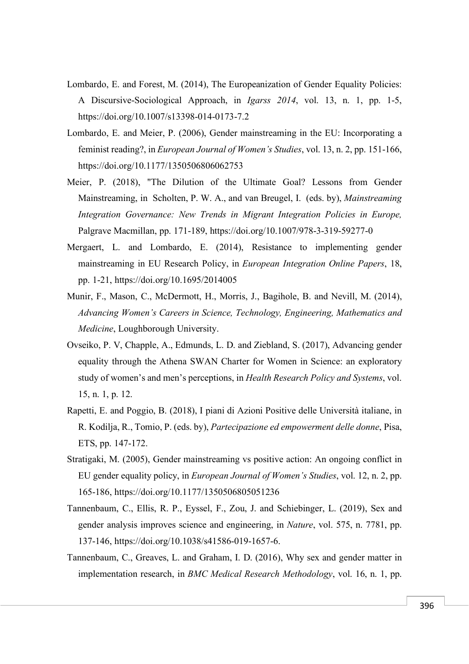- Lombardo, E. and Forest, M. (2014), The Europeanization of Gender Equality Policies: A Discursive-Sociological Approach, in *Igarss 2014*, vol. 13, n. 1, pp. 1-5, https://doi.org/10.1007/s13398-014-0173-7.2
- Lombardo, E. and Meier, P. (2006), Gender mainstreaming in the EU: Incorporating a feminist reading?, in *European Journal of Women's Studies*, vol. 13, n. 2, pp. 151-166, https://doi.org/10.1177/1350506806062753
- Meier, P. (2018), "The Dilution of the Ultimate Goal? Lessons from Gender Mainstreaming, in Scholten, P. W. A., and van Breugel, I. (eds. by), *Mainstreaming Integration Governance: New Trends in Migrant Integration Policies in Europe,* Palgrave Macmillan, pp. 171-189, https://doi.org/10.1007/978-3-319-59277-0
- Mergaert, L. and Lombardo, E. (2014), Resistance to implementing gender mainstreaming in EU Research Policy, in *European Integration Online Papers*, 18, pp. 1-21, https://doi.org/10.1695/2014005
- Munir, F., Mason, C., McDermott, H., Morris, J., Bagihole, B. and Nevill, M. (2014), *Advancing Women's Careers in Science, Technology, Engineering, Mathematics and Medicine*, Loughborough University.
- Ovseiko, P. V, Chapple, A., Edmunds, L. D. and Ziebland, S. (2017), Advancing gender equality through the Athena SWAN Charter for Women in Science: an exploratory study of women's and men's perceptions, in *Health Research Policy and Systems*, vol. 15, n. 1, p. 12.
- Rapetti, E. and Poggio, B. (2018), I piani di Azioni Positive delle Università italiane, in R. Kodilja, R., Tomio, P. (eds. by), *Partecipazione ed empowerment delle donne*, Pisa, ETS, pp. 147-172.
- Stratigaki, M. (2005), Gender mainstreaming vs positive action: An ongoing conflict in EU gender equality policy, in *European Journal of Women's Studies*, vol. 12, n. 2, pp. 165-186, https://doi.org/10.1177/1350506805051236
- Tannenbaum, C., Ellis, R. P., Eyssel, F., Zou, J. and Schiebinger, L. (2019), Sex and gender analysis improves science and engineering, in *Nature*, vol. 575, n. 7781, pp. 137-146, https://doi.org/10.1038/s41586-019-1657-6.
- Tannenbaum, C., Greaves, L. and Graham, I. D. (2016), Why sex and gender matter in implementation research, in *BMC Medical Research Methodology*, vol. 16, n. 1, pp.